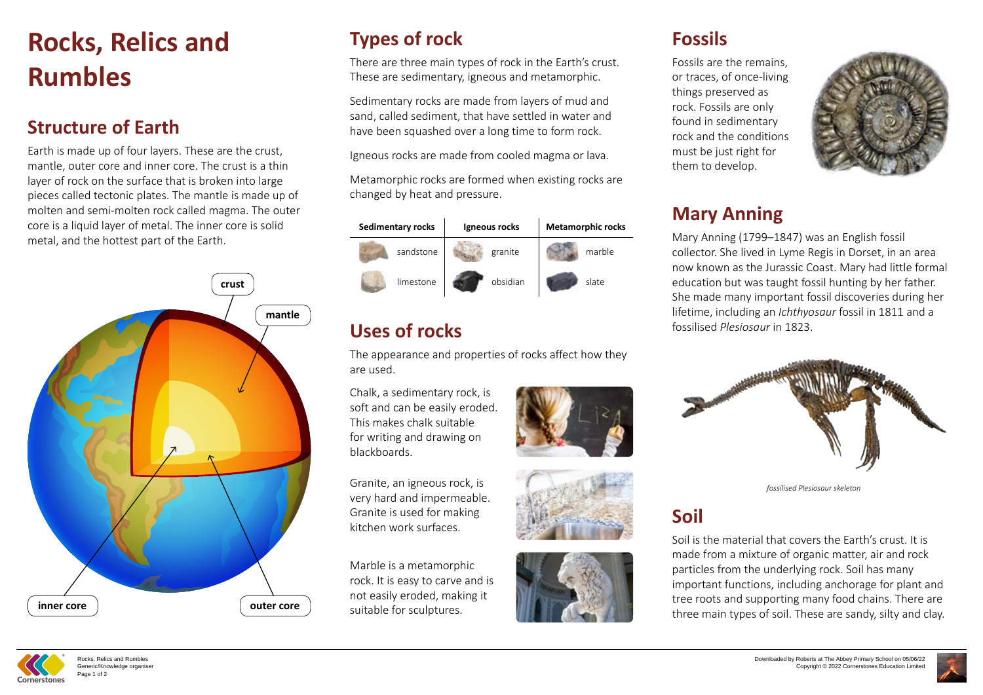# **Rocks, Relics and Rumbles**

#### **Structure of Earth**

Earth is made up of four layers. These are the crust, mantle, outer core and inner core. The crust is a thin layer of rock on the surface that is broken into large pieces called tectonic plates. The mantle is made up of molten and semi-molten rock called magma. The outer core is a liquid layer of metal. The inner core is solid metal, and the hottest part of the Earth.

## **Fossils**

Fossils are the remains, or traces, of once-living things preserved as rock. Fossils are only found in sedimentary rock and the conditions must be just right for them to develop.

## **Mary Anning**

Mary Anning (1799–1847) was an English fossil collector. She lived in Lyme Regis in Dorset, in an area now known as the Jurassic Coast. Mary had little formal education but was taught fossil hunting by her father. She made many important fossil discoveries during her lifetime, including an *Ichthyosaur* fossil in 1811 and a fossilised *Plesiosaur* in 1823.



*fossilised Plesiosaur skeleton*

### **Soil**

Soil is the material that covers the Earth's crust. It is made from a mixture of organic matter, air and rock particles from the underlying rock. Soil has many important functions, including anchorage for plant and tree roots and supporting many food chains. There are three main types of soil. These are sandy, silty and clay.





# **Types of rock**

There are three main types of rock in the Earth's crust. These are sedimentary, igneous and metamorphic.

Sedimentary rocks are made from layers of mud and sand, called sediment, that have settled in water and have been squashed over a long time to form rock.

Igneous rocks are made from cooled magma or lava.

Metamorphic rocks are formed when existing rocks are changed by heat and pressure.





# **Uses of rocks**

The appearance and properties of rocks affect how they are used.

Chalk, a sedimentary rock, is soft and can be easily eroded This makes chalk suitable for writing and drawing on blackboards.

Granite, an igneous rock, is very hard and impermeable. Granite is used for making kitchen work surfaces.

Marble is a metamorphic rock. It is easy to carve and is not easily eroded, making it suitable for sculptures.